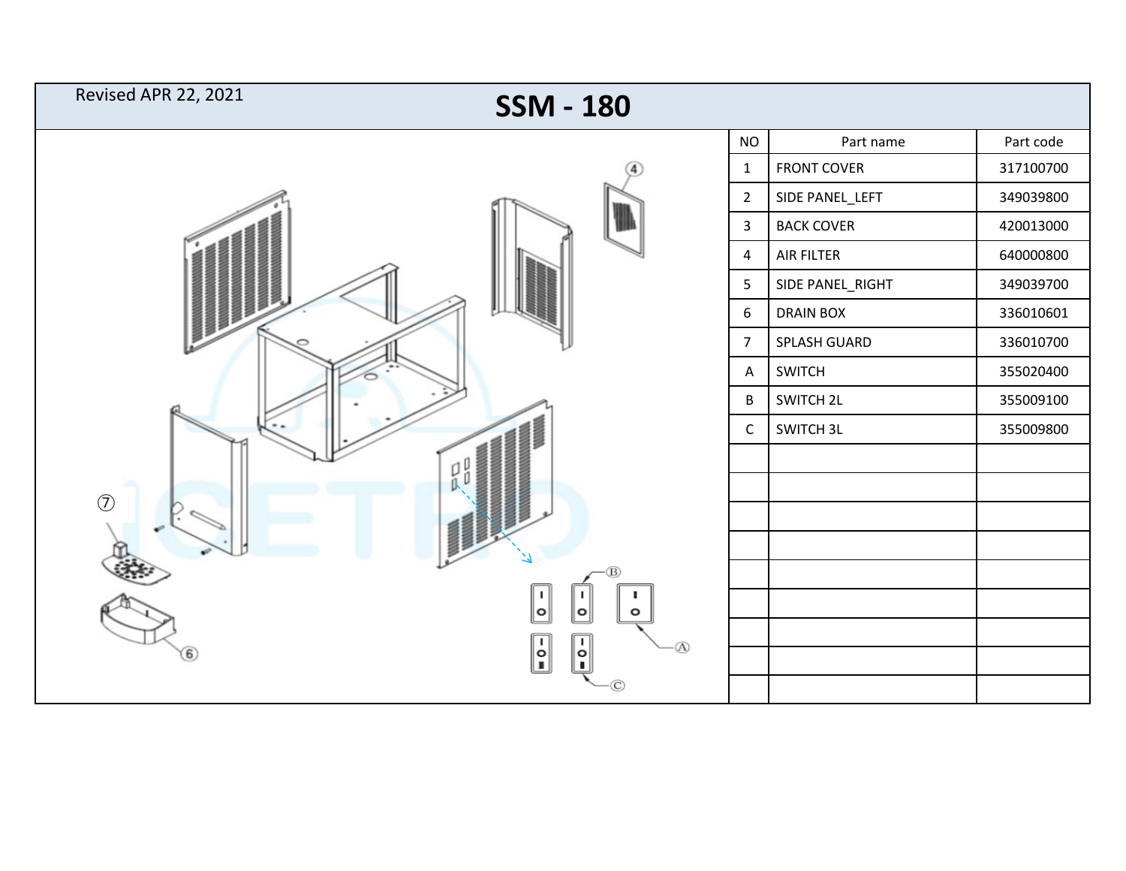| Revised APR 22, 2021 | <b>SSM - 180</b>                                                                     |                  |                    |           |
|----------------------|--------------------------------------------------------------------------------------|------------------|--------------------|-----------|
|                      |                                                                                      | $NO$             | Part name          | Part code |
|                      |                                                                                      | $\mathbf 1$      | <b>FRONT COVER</b> | 317100700 |
|                      |                                                                                      | $\overline{2}$   | SIDE PANEL_LEFT    | 349039800 |
|                      |                                                                                      | $\mathbf{3}$     | <b>BACK COVER</b>  | 420013000 |
|                      |                                                                                      | $\overline{a}$   | AIR FILTER         | 640000800 |
|                      |                                                                                      | 5                | SIDE PANEL_RIGHT   | 349039700 |
|                      |                                                                                      | $\boldsymbol{6}$ | <b>DRAIN BOX</b>   | 336010601 |
|                      |                                                                                      | $\overline{7}$   | SPLASH GUARD       | 336010700 |
|                      |                                                                                      | $\mathsf{A}$     | SWITCH             | 355020400 |
|                      |                                                                                      | $\sf{B}$         | SWITCH 2L          | 355009100 |
|                      |                                                                                      | $\mathsf C$      | SWITCH 3L          | 355009800 |
|                      |                                                                                      |                  |                    |           |
|                      | 갧<br>0                                                                               |                  |                    |           |
| $\circled{7}$        |                                                                                      |                  |                    |           |
|                      |                                                                                      |                  |                    |           |
|                      |                                                                                      |                  |                    |           |
|                      | $\blacksquare$<br>J.<br>n.<br>$ \mathtt{o} $<br>∥∘∣<br>$\circ$                       |                  |                    |           |
| 6                    | $\begin{bmatrix} 1 \\ 0 \\ 1 \end{bmatrix}$<br>$\mathbf{I}$<br>Ø0<br>$ \hat{\cdot} $ |                  |                    |           |
|                      |                                                                                      |                  |                    |           |
|                      |                                                                                      |                  |                    |           |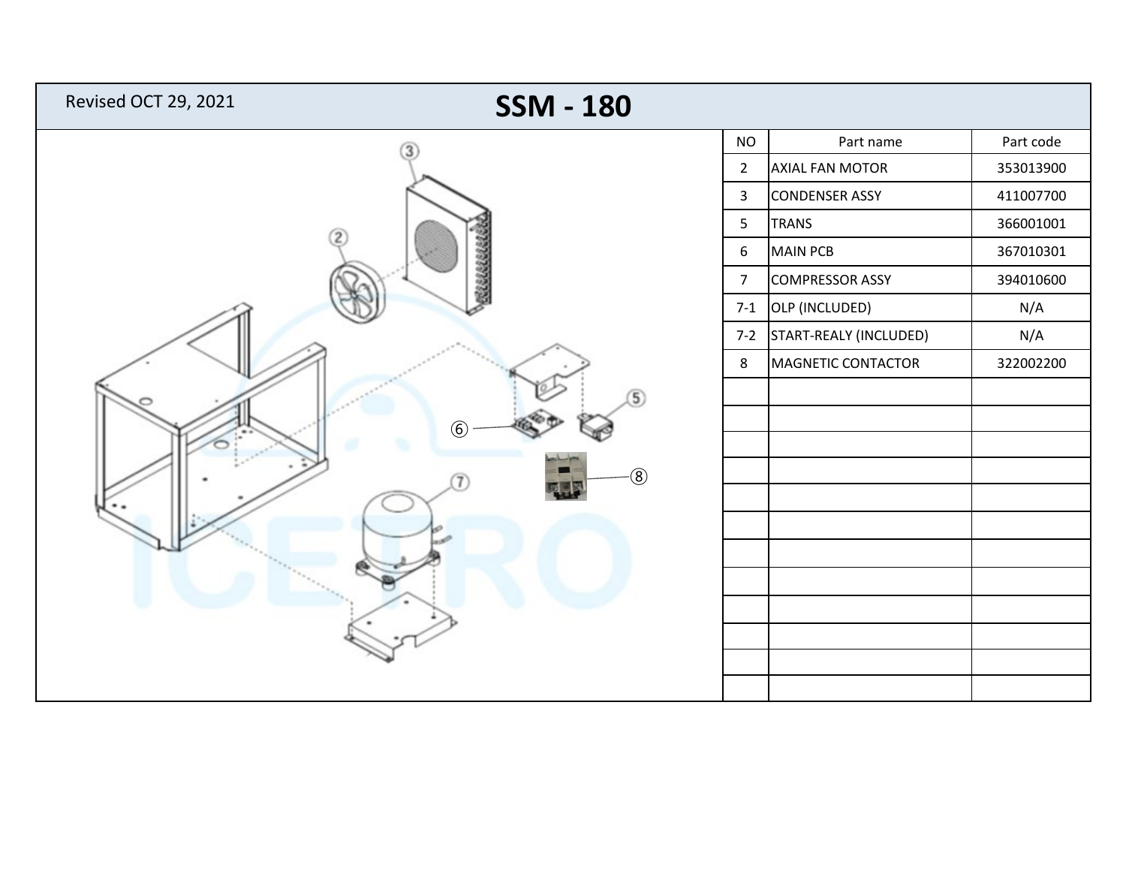| Revised OCT 29, 2021<br><b>SSM - 180</b> |                  |                            |           |
|------------------------------------------|------------------|----------------------------|-----------|
|                                          | <b>NO</b>        | Part name                  | Part code |
|                                          |                  | AXIAL FAN MOTOR            | 353013900 |
|                                          | $\mathbf{3}$     | <b>CONDENSER ASSY</b>      | 411007700 |
|                                          |                  | <b>TRANS</b>               | 366001001 |
| $\overline{2}$                           | $\boldsymbol{6}$ | <b>MAIN PCB</b>            | 367010301 |
| 22222222                                 | $\overline{7}$   | <b>COMPRESSOR ASSY</b>     | 394010600 |
|                                          | $7-1$            | OLP (INCLUDED)             | N/A       |
|                                          |                  | 7-2 START-REALY (INCLUDED) | N/A       |
|                                          | 8                | MAGNETIC CONTACTOR         | 322002200 |
| $\overline{5}$                           |                  |                            |           |
| $\circled6$                              |                  |                            |           |
|                                          |                  |                            |           |
| $\circledS$                              |                  |                            |           |
|                                          |                  |                            |           |
|                                          |                  |                            |           |
|                                          |                  |                            |           |
|                                          |                  |                            |           |
|                                          |                  |                            |           |
|                                          |                  |                            |           |
|                                          |                  |                            |           |
|                                          |                  |                            |           |